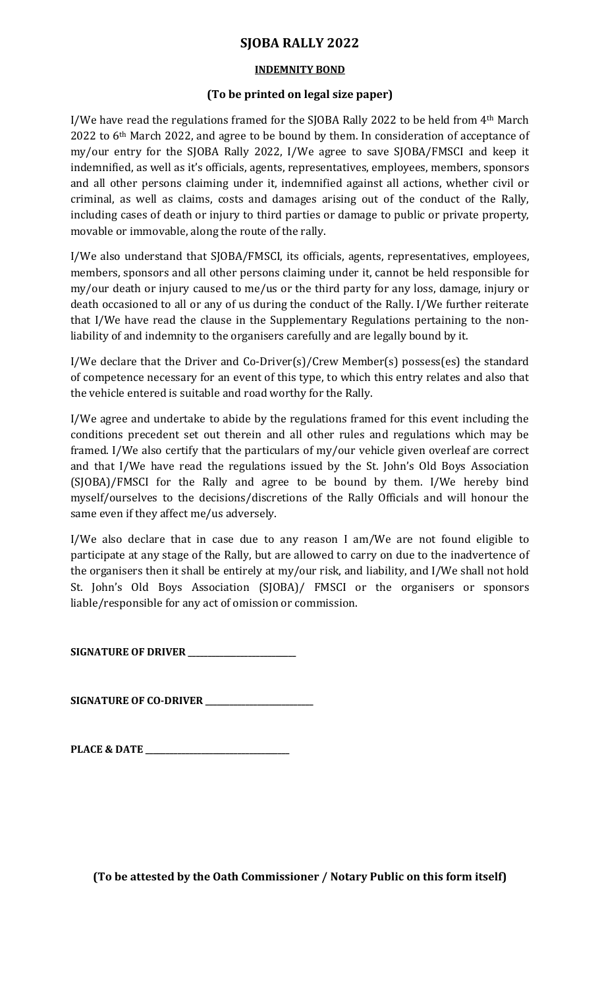# SJOBA RALLY 2022

#### INDEMNITY BOND

### (To be printed on legal size paper)

I/We have read the regulations framed for the SJOBA Rally 2022 to be held from 4th March 2022 to 6<sup>th</sup> March 2022, and agree to be bound by them. In consideration of acceptance of my/our entry for the SJOBA Rally 2022, I/We agree to save SJOBA/FMSCI and keep it indemnified, as well as it's officials, agents, representatives, employees, members, sponsors and all other persons claiming under it, indemnified against all actions, whether civil or criminal, as well as claims, costs and damages arising out of the conduct of the Rally, including cases of death or injury to third parties or damage to public or private property, movable or immovable, along the route of the rally.

I/We also understand that SJOBA/FMSCI, its officials, agents, representatives, employees, members, sponsors and all other persons claiming under it, cannot be held responsible for my/our death or injury caused to me/us or the third party for any loss, damage, injury or death occasioned to all or any of us during the conduct of the Rally. I/We further reiterate that I/We have read the clause in the Supplementary Regulations pertaining to the nonliability of and indemnity to the organisers carefully and are legally bound by it.

I/We declare that the Driver and Co-Driver(s)/Crew Member(s) possess(es) the standard of competence necessary for an event of this type, to which this entry relates and also that the vehicle entered is suitable and road worthy for the Rally.

I/We agree and undertake to abide by the regulations framed for this event including the conditions precedent set out therein and all other rules and regulations which may be framed. I/We also certify that the particulars of my/our vehicle given overleaf are correct and that I/We have read the regulations issued by the St. John's Old Boys Association (SJOBA)/FMSCI for the Rally and agree to be bound by them. I/We hereby bind myself/ourselves to the decisions/discretions of the Rally Officials and will honour the same even if they affect me/us adversely.

I/We also declare that in case due to any reason I am/We are not found eligible to participate at any stage of the Rally, but are allowed to carry on due to the inadvertence of the organisers then it shall be entirely at my/our risk, and liability, and I/We shall not hold St. John's Old Boys Association (SJOBA)/ FMSCI or the organisers or sponsors liable/responsible for any act of omission or commission.

SIGNATURE OF DRIVER \_\_\_\_\_\_\_\_\_\_\_

SIGNATURE OF CO-DRIVER \_\_\_\_\_\_\_\_\_\_\_\_\_\_\_\_\_\_\_\_\_\_\_\_\_\_\_

PLACE & DATE \_\_\_\_\_\_\_\_\_\_\_\_\_\_\_\_\_\_\_\_\_\_\_\_\_\_\_\_\_\_\_\_\_\_\_\_

(To be attested by the Oath Commissioner / Notary Public on this form itself)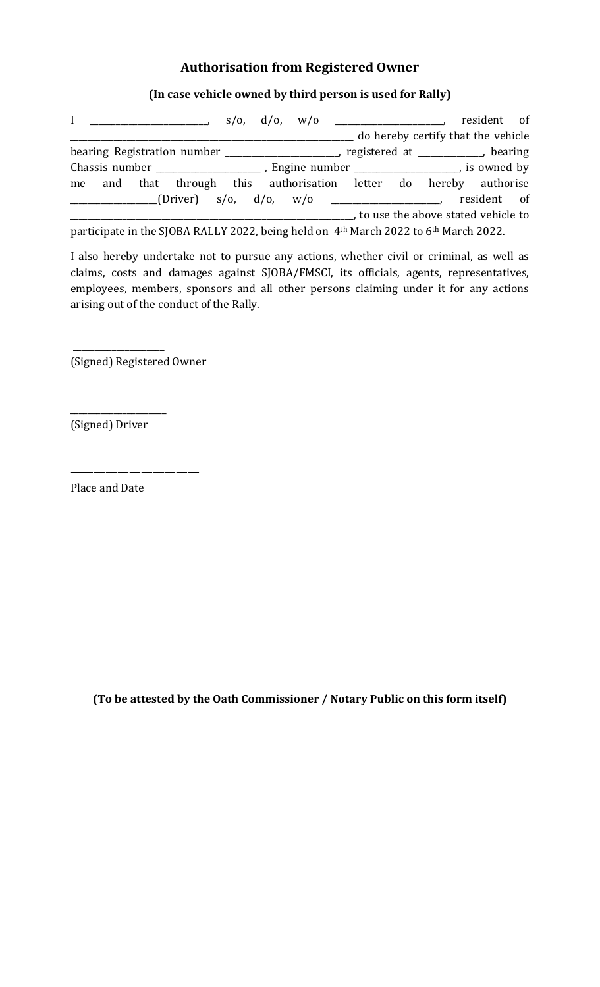# Authorisation from Registered Owner

(In case vehicle owned by third person is used for Rally)

| $\mathbf{I}$<br>$\frac{1}{s}$ s/o, d/o, w/o                                                                  |  |  |  | $\begin{array}{cccc} \hline \end{array}$ resident of |  |                                    |             |  |
|--------------------------------------------------------------------------------------------------------------|--|--|--|------------------------------------------------------|--|------------------------------------|-------------|--|
|                                                                                                              |  |  |  |                                                      |  | do hereby certify that the vehicle |             |  |
| bearing Registration number _______________________, registered at ___________, bearing                      |  |  |  |                                                      |  |                                    |             |  |
|                                                                                                              |  |  |  |                                                      |  |                                    |             |  |
| me and that through this authorisation letter do hereby authorise                                            |  |  |  |                                                      |  |                                    |             |  |
|                                                                                                              |  |  |  |                                                      |  |                                    | resident of |  |
| to use the above stated vehicle to                                                                           |  |  |  |                                                      |  |                                    |             |  |
| participate in the SJOBA RALLY 2022, being held on 4 <sup>th</sup> March 2022 to 6 <sup>th</sup> March 2022. |  |  |  |                                                      |  |                                    |             |  |

I also hereby undertake not to pursue any actions, whether civil or criminal, as well as claims, costs and damages against SJOBA/FMSCI, its officials, agents, representatives, employees, members, sponsors and all other persons claiming under it for any actions arising out of the conduct of the Rally.

(Signed) Registered Owner

———————————

 $\overline{\phantom{a}}$  ,  $\overline{\phantom{a}}$  ,  $\overline{\phantom{a}}$  ,  $\overline{\phantom{a}}$  ,  $\overline{\phantom{a}}$  ,  $\overline{\phantom{a}}$  ,  $\overline{\phantom{a}}$  ,  $\overline{\phantom{a}}$  ,  $\overline{\phantom{a}}$  ,  $\overline{\phantom{a}}$  ,  $\overline{\phantom{a}}$  ,  $\overline{\phantom{a}}$  ,  $\overline{\phantom{a}}$  ,  $\overline{\phantom{a}}$  ,  $\overline{\phantom{a}}$  ,  $\overline{\phantom{a}}$ 

(Signed) Driver

\_\_\_\_\_\_\_\_\_\_\_\_\_\_\_\_\_\_\_\_\_\_

Place and Date

(To be attested by the Oath Commissioner / Notary Public on this form itself)